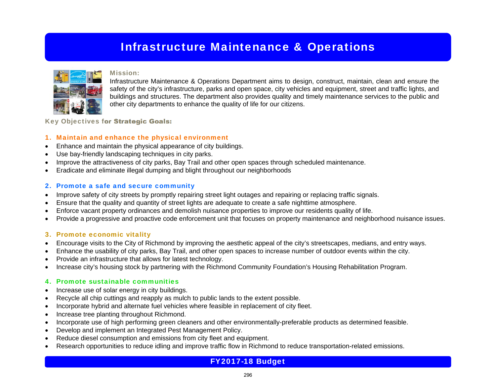## Infrastructure Maintenance & Operations



#### Mission:

Infrastructure Maintenance & Operations Department aims to design, construct, maintain, clean and ensure the safety of the city's infrastructure, parks and open space, city vehicles and equipment, street and traffic lights, and buildings and structures. The department also provides quality and timely maintenance services to the public and other city departments to enhance the quality of life for our citizens.

Key Objectives for Strategic Goals:

## 1. Maintain and enhance the physical environment

- Enhance and maintain the physical appearance of city buildings.
- Use bay-friendly landscaping techniques in city parks.
- Improve the attractiveness of city parks, Bay Trail and other open spaces through scheduled maintenance.
- Eradicate and eliminate illegal dumping and blight throughout our neighborhoods

## 2. Promote a safe and secure community

- Improve safety of city streets by promptly repairing street light outages and repairing or replacing traffic signals.
- Ensure that the quality and quantity of street lights are adequate to create a safe nighttime atmosphere.
- Enforce vacant property ordinances and demolish nuisance properties to improve our residents quality of life.
- Provide a progressive and proactive code enforcement unit that focuses on property maintenance and neighborhood nuisance issues.

### 3. Promote economic vitality

- Encourage visits to the City of Richmond by improving the aesthetic appeal of the city's streetscapes, medians, and entry ways.
- Enhance the usability of city parks, Bay Trail, and other open spaces to increase number of outdoor events within the city.
- Provide an infrastructure that allows for latest technology.
- Increase city's housing stock by partnering with the Richmond Community Foundation's Housing Rehabilitation Program.

### 4. Promote sustainable communities

- Increase use of solar energy in city buildings.
- Recycle all chip cuttings and reapply as mulch to public lands to the extent possible.
- Incorporate hybrid and alternate fuel vehicles where feasible in replacement of city fleet.
- Increase tree planting throughout Richmond.
- Incorporate use of high performing green cleaners and other environmentally-preferable products as determined feasible.
- Develop and implement an Integrated Pest Management Policy.
- Reduce diesel consumption and emissions from city fleet and equipment.
- Research opportunities to reduce idling and improve traffic flow in Richmond to reduce transportation-related emissions.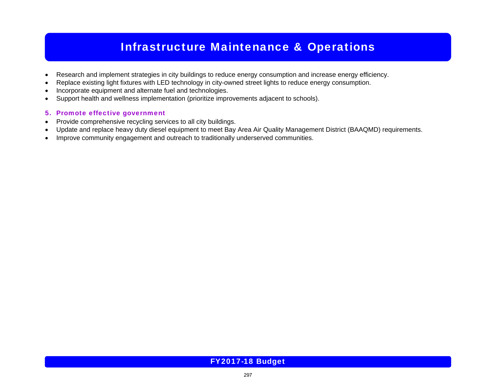## Infrastructure Maintenance & Operations

- Research and implement strategies in city buildings to reduce energy consumption and increase energy efficiency.
- Replace existing light fixtures with LED technology in city-owned street lights to reduce energy consumption.
- Incorporate equipment and alternate fuel and technologies.
- Support health and wellness implementation (prioritize improvements adjacent to schools).

### 5. Promote effective government

- Provide comprehensive recycling services to all city buildings.
- Update and replace heavy duty diesel equipment to meet Bay Area Air Quality Management District (BAAQMD) requirements.
- Improve community engagement and outreach to traditionally underserved communities.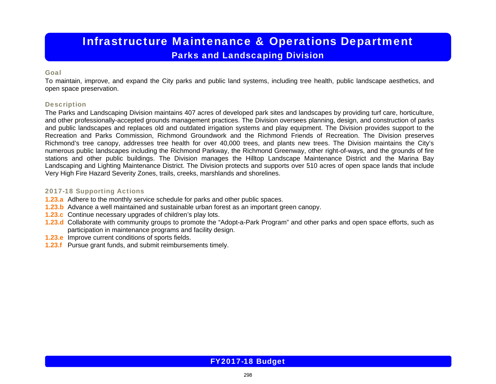## Infrastructure Maintenance & Operations Department Parks and Landscaping Division

### Goal

To maintain, improve, and expand the City parks and public land systems, including tree health, public landscape aesthetics, and open space preservation.

### **Description**

The Parks and Landscaping Division maintains 407 acres of developed park sites and landscapes by providing turf care, horticulture, and other professionally-accepted grounds management practices. The Division oversees planning, design, and construction of parks and public landscapes and replaces old and outdated irrigation systems and play equipment. The Division provides support to the Recreation and Parks Commission, Richmond Groundwork and the Richmond Friends of Recreation. The Division preserves Richmond's tree canopy, addresses tree health for over 40,000 trees, and plants new trees. The Division maintains the City's numerous public landscapes including the Richmond Parkway, the Richmond Greenway, other right-of-ways, and the grounds of fire stations and other public buildings. The Division manages the Hilltop Landscape Maintenance District and the Marina Bay Landscaping and Lighting Maintenance District. The Division protects and supports over 510 acres of open space lands that include Very High Fire Hazard Severity Zones, trails, creeks, marshlands and shorelines.

### 2017-18 Supporting Actions

- **1.23.a** Adhere to the monthly service schedule for parks and other public spaces.
- **1.23.b** Advance a well maintained and sustainable urban forest as an important green canopy.
- **1.23.c** Continue necessary upgrades of children's play lots.
- **1.23.d** Collaborate with community groups to promote the "Adopt-a-Park Program" and other parks and open space efforts, such as participation in maintenance programs and facility design.
- **1.23.e** Improve current conditions of sports fields.
- **1.23.f** Pursue grant funds, and submit reimbursements timely.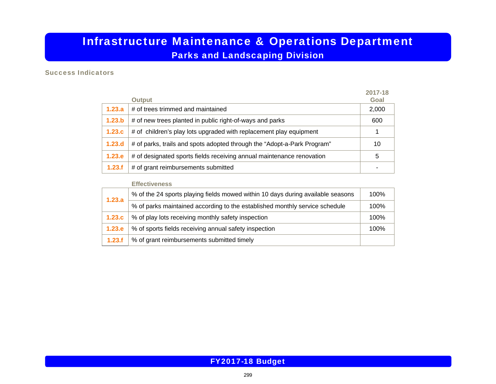## Infrastructure Maintenance & Operations Department Parks and Landscaping Division

### Success Indicators

|        | <b>Output</b>                                                           | 2017-18<br>Goal |
|--------|-------------------------------------------------------------------------|-----------------|
| 1.23.a | # of trees trimmed and maintained                                       | 2,000           |
| 1.23.b | # of new trees planted in public right-of-ways and parks                | 600             |
| 1.23.c | # of children's play lots upgraded with replacement play equipment      |                 |
| 1.23.d | # of parks, trails and spots adopted through the "Adopt-a-Park Program" | 10              |
| 1.23.e | # of designated sports fields receiving annual maintenance renovation   | 5               |
| 1.23.f | # of grant reimbursements submitted                                     |                 |

#### **Effectiveness**

| 1.23.a | % of the 24 sports playing fields mowed within 10 days during available seasons | 100% |
|--------|---------------------------------------------------------------------------------|------|
|        | % of parks maintained according to the established monthly service schedule     | 100% |
| 1.23.c | % of play lots receiving monthly safety inspection                              | 100% |
| 1.23.e | % of sports fields receiving annual safety inspection                           | 100% |
| 1.23.f | % of grant reimbursements submitted timely                                      |      |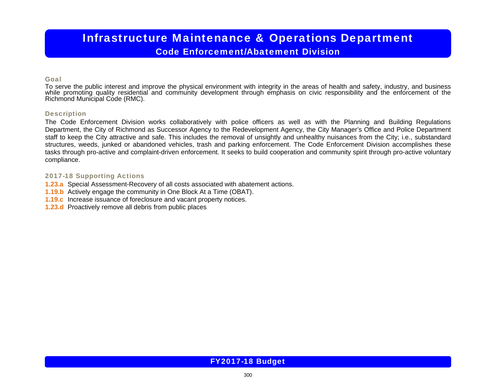# Infrastructure Maintenance & Operations Department

## Code Enforcement/Abatement Division

### Goal

To serve the public interest and improve the physical environment with integrity in the areas of health and safety, industry, and business while promoting quality residential and community development through emphasis on civic responsibility and the enforcement of the<br>Richmond Municipal Code (RMC).

### **Description**

The Code Enforcement Division works collaboratively with police officers as well as with the Planning and Building Regulations Department, the City of Richmond as Successor Agency to the Redevelopment Agency, the City Manager's Office and Police Department staff to keep the City attractive and safe. This includes the removal of unsightly and unhealthy nuisances from the City; i.e., substandard structures, weeds, junked or abandoned vehicles, trash and parking enforcement. The Code Enforcement Division accomplishes these tasks through pro-active and complaint-driven enforcement. It seeks to build cooperation and community spirit through pro-active voluntary compliance.

### 2017-18 Supporting Actions

- **1.23.a** Special Assessment-Recovery of all costs associated with abatement actions.
- **1.19.b** Actively engage the community in One Block At a Time (OBAT).
- **1.19.c** Increase issuance of foreclosure and vacant property notices.
- **1.23.d** Proactively remove all debris from public places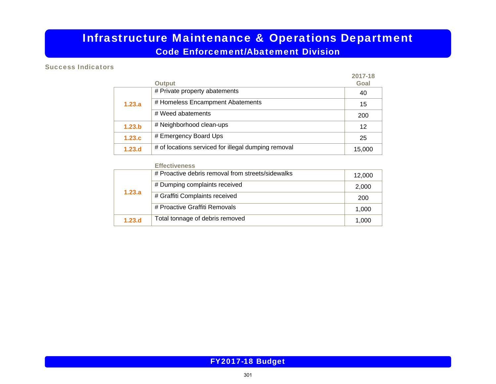## Infrastructure Maintenance & Operations Department

Code Enforcement/Abatement Division

## Success Indicators

|        |                                                     | 2017-18 |
|--------|-----------------------------------------------------|---------|
|        | <b>Output</b>                                       | Goal    |
|        | # Private property abatements                       | 40      |
| 1.23.a | # Homeless Encampment Abatements                    | 15      |
|        | # Weed abatements                                   | 200     |
| 1.23.b | # Neighborhood clean-ups                            | 12      |
| 1.23.c | # Emergency Board Ups                               | 25      |
| 1.23.d | # of locations serviced for illegal dumping removal | 15,000  |

#### **Effectiveness**

|        | # Proactive debris removal from streets/sidewalks | 12,000 |
|--------|---------------------------------------------------|--------|
|        | # Dumping complaints received                     | 2,000  |
| 1.23.a | # Graffiti Complaints received                    | 200    |
|        | # Proactive Graffiti Removals                     | 1,000  |
| 1.23.d | Total tonnage of debris removed                   | 1,000  |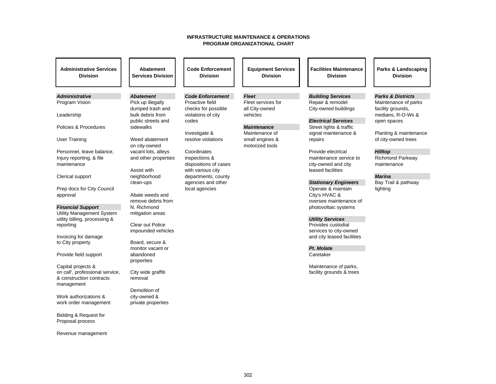#### **INFRASTRUCTURE MAINTENANCE & OPERATIONS PROGRAM ORGANIZATIONAL CHART**

| <b>Administrative Services</b><br><b>Division</b>     | Abatement<br><b>Services Division</b> | <b>Code Enforcement</b><br><b>Division</b> | <b>Equipment Services</b><br><b>Division</b> | <b>Facilities Maintenance</b><br><b>Division</b> | Parks & Landscaping<br><b>Division</b> |
|-------------------------------------------------------|---------------------------------------|--------------------------------------------|----------------------------------------------|--------------------------------------------------|----------------------------------------|
|                                                       |                                       |                                            |                                              |                                                  |                                        |
| <b>Administrative</b>                                 | <b>Abatement</b>                      | <b>Code Enforcement</b>                    | <b>Fleet</b>                                 | <b>Building Services</b>                         | <b>Parks &amp; Districts</b>           |
| Program Vision                                        | Pick up illegally                     | Proactive field                            | Fleet services for                           | Repair & remodel                                 | Maintenance of parks                   |
| Leadership                                            | dumped trash and<br>bulk debris from  | checks for possible<br>violations of city  | all City-owned<br>vehicles                   | City-owned buildings                             | facility grounds,<br>medians, R-O-Ws & |
|                                                       | public streets and                    | codes                                      |                                              | <b>Electrical Services</b>                       | open spaces                            |
| Policies & Procedures                                 | sidewalks                             |                                            | <b>Maintenance</b>                           | Street lights & traffic                          |                                        |
|                                                       |                                       | Investigate &                              | Maintenance of                               | signal maintenance &                             | Planting & maintenance                 |
| <b>User Training</b>                                  | Weed abatement<br>on city-owned       | resolve violations                         | small engines &<br>motorized tools           | repairs                                          | of city-owned trees                    |
| Personnel, leave balance,                             | vacant lots, alleys                   | Coordinates                                |                                              | Provide electrical                               | <b>Hilltop</b>                         |
| Injury reporting, & file                              | and other properties                  | inspections &                              |                                              | maintenance service to                           | Richmond Parkway                       |
| maintenance                                           |                                       | dispositions of cases                      |                                              | city-owned and city                              | maintenance                            |
| Clerical support                                      | Assist with<br>neighborhood           | with various city<br>departments, county   |                                              | leased facilities                                | <b>Marina</b>                          |
|                                                       | clean-ups                             | agencies and other                         |                                              | <b>Stationary Engineers</b>                      | Bay Trail & pathway                    |
| Prep docs for City Council                            |                                       | local agencies                             |                                              | Operate & maintain                               | lighting                               |
| approval                                              | Abate weeds and                       |                                            |                                              | City's HVAC &                                    |                                        |
|                                                       | remove debris from                    |                                            |                                              | oversee maintenance of                           |                                        |
| <b>Financial Support</b><br>Utility Management System | N. Richmond<br>mitigation areas       |                                            |                                              | photovoltaic systems                             |                                        |
| utility billing, processing &                         |                                       |                                            |                                              | <b>Utility Services</b>                          |                                        |
| reporting                                             | Clear out Police                      |                                            |                                              | Provides custodial                               |                                        |
|                                                       | impounded vehicles                    |                                            |                                              | services to city-owned                           |                                        |
| Invoicing for damage<br>to City property              | Board, secure &                       |                                            |                                              | and city leased facilities                       |                                        |
|                                                       | monitor vacant or                     |                                            |                                              | Pt. Molate                                       |                                        |
| Provide field support                                 | abandoned                             |                                            |                                              | Caretaker                                        |                                        |
| Capital projects &                                    | properties                            |                                            |                                              | Maintenance of parks,                            |                                        |
| on call', professional service,                       | City wide graffiti                    |                                            |                                              | facility grounds & trees                         |                                        |
| & construction contracts                              | removal                               |                                            |                                              |                                                  |                                        |
| management                                            |                                       |                                            |                                              |                                                  |                                        |
| Work authorizations &                                 | Demolition of<br>city-owned &         |                                            |                                              |                                                  |                                        |
| work order management                                 | private properties                    |                                            |                                              |                                                  |                                        |
|                                                       |                                       |                                            |                                              |                                                  |                                        |
| Bidding & Request for                                 |                                       |                                            |                                              |                                                  |                                        |
| Proposal process                                      |                                       |                                            |                                              |                                                  |                                        |
| Revenue management                                    |                                       |                                            |                                              |                                                  |                                        |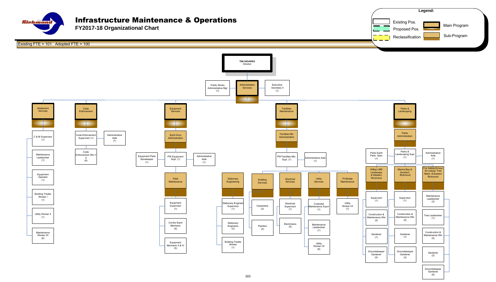

**FY2017-18 Organizational Chart**





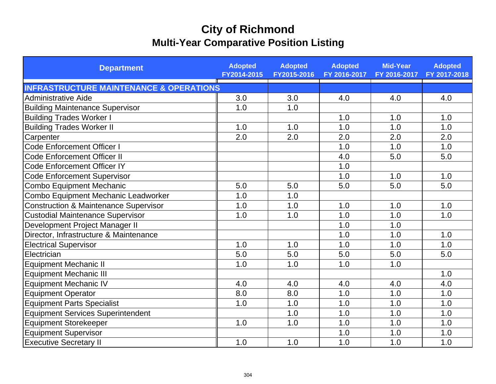## **City of Richmond Multi-Year Comparative Position Listing**

| <b>Department</b>                                  | <b>Adopted</b><br>FY2014-2015 | <b>Adopted</b><br>FY2015-2016 | <b>Adopted</b><br>FY 2016-2017 | <b>Mid-Year</b><br>FY 2016-2017 | <b>Adopted</b><br>FY 2017-2018 |
|----------------------------------------------------|-------------------------------|-------------------------------|--------------------------------|---------------------------------|--------------------------------|
| <b>INFRASTRUCTURE MAINTENANCE &amp; OPERATIONS</b> |                               |                               |                                |                                 |                                |
| <b>Administrative Aide</b>                         | 3.0                           | 3.0                           | 4.0                            | 4.0                             | 4.0                            |
| <b>Building Maintenance Supervisor</b>             | 1.0                           | 1.0                           |                                |                                 |                                |
| <b>Building Trades Worker I</b>                    |                               |                               | 1.0                            | 1.0                             | 1.0                            |
| <b>Building Trades Worker II</b>                   | 1.0                           | 1.0                           | 1.0                            | 1.0                             | 1.0                            |
| Carpenter                                          | 2.0                           | 2.0                           | 2.0                            | 2.0                             | 2.0                            |
| Code Enforcement Officer I                         |                               |                               | 1.0                            | 1.0                             | 1.0                            |
| <b>Code Enforcement Officer II</b>                 |                               |                               | 4.0                            | 5.0                             | 5.0                            |
| <b>Code Enforcement Officer IY</b>                 |                               |                               | 1.0                            |                                 |                                |
| <b>Code Enforcement Supervisor</b>                 |                               |                               | 1.0                            | 1.0                             | 1.0                            |
| <b>Combo Equipment Mechanic</b>                    | 5.0                           | 5.0                           | 5.0                            | 5.0                             | 5.0                            |
| Combo Equipment Mechanic Leadworker                | 1.0                           | 1.0                           |                                |                                 |                                |
| <b>Construction &amp; Maintenance Supervisor</b>   | 1.0                           | 1.0                           | 1.0                            | 1.0                             | 1.0                            |
| <b>Custodial Maintenance Supervisor</b>            | 1.0                           | 1.0                           | 1.0                            | 1.0                             | 1.0                            |
| Development Project Manager II                     |                               |                               | 1.0                            | 1.0                             |                                |
| Director, Infrastructure & Maintenance             |                               |                               | 1.0                            | 1.0                             | 1.0                            |
| <b>Electrical Supervisor</b>                       | 1.0                           | 1.0                           | 1.0                            | 1.0                             | 1.0                            |
| Electrician                                        | 5.0                           | 5.0                           | 5.0                            | 5.0                             | 5.0                            |
| <b>Equipment Mechanic II</b>                       | 1.0                           | 1.0                           | 1.0                            | 1.0                             |                                |
| <b>Equipment Mechanic III</b>                      |                               |                               |                                |                                 | 1.0                            |
| <b>Equipment Mechanic IV</b>                       | 4.0                           | 4.0                           | 4.0                            | 4.0                             | 4.0                            |
| <b>Equipment Operator</b>                          | 8.0                           | 8.0                           | 1.0                            | 1.0                             | 1.0                            |
| <b>Equipment Parts Specialist</b>                  | 1.0                           | 1.0                           | 1.0                            | 1.0                             | 1.0                            |
| <b>Equipment Services Superintendent</b>           |                               | 1.0                           | 1.0                            | 1.0                             | 1.0                            |
| <b>Equipment Storekeeper</b>                       | 1.0                           | 1.0                           | 1.0                            | 1.0                             | 1.0                            |
| <b>Equipment Supervisor</b>                        |                               |                               | 1.0                            | 1.0                             | 1.0                            |
| <b>Executive Secretary II</b>                      | 1.0                           | 1.0                           | 1.0                            | 1.0                             | 1.0                            |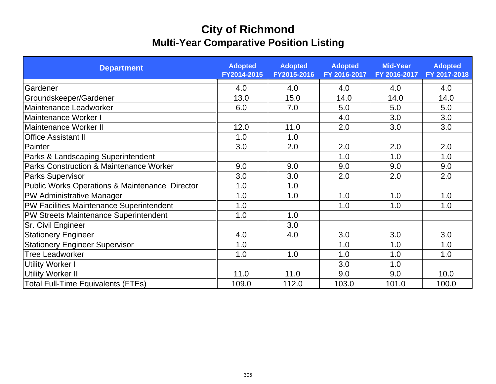## **City of Richmond Multi-Year Comparative Position Listing**

| <b>Department</b>                                  | <b>Adopted</b><br>FY2014-2015 | <b>Adopted</b><br>FY2015-2016 | <b>Adopted</b><br>FY 2016-2017 | <b>Mid-Year</b><br>FY 2016-2017 | <b>Adopted</b><br>FY 2017-2018 |
|----------------------------------------------------|-------------------------------|-------------------------------|--------------------------------|---------------------------------|--------------------------------|
| Gardener                                           | 4.0                           | 4.0                           | 4.0                            | 4.0                             | 4.0                            |
| Groundskeeper/Gardener                             | 13.0                          | 15.0                          | 14.0                           | 14.0                            | 14.0                           |
| Maintenance Leadworker                             | 6.0                           | 7.0                           | 5.0                            | 5.0                             | 5.0                            |
| Maintenance Worker I                               |                               |                               | 4.0                            | 3.0                             | 3.0                            |
| Maintenance Worker II                              | 12.0                          | 11.0                          | 2.0                            | 3.0                             | 3.0                            |
| <b>Office Assistant II</b>                         | 1.0                           | 1.0                           |                                |                                 |                                |
| Painter                                            | 3.0                           | 2.0                           | 2.0                            | 2.0                             | 2.0                            |
| Parks & Landscaping Superintendent                 |                               |                               | 1.0                            | 1.0                             | 1.0                            |
| <b>Parks Construction &amp; Maintenance Worker</b> | 9.0                           | 9.0                           | 9.0                            | 9.0                             | 9.0                            |
| <b>Parks Supervisor</b>                            | 3.0                           | 3.0                           | 2.0                            | 2.0                             | 2.0                            |
| Public Works Operations & Maintenance Director     | 1.0                           | 1.0                           |                                |                                 |                                |
| PW Administrative Manager                          | 1.0                           | 1.0                           | 1.0                            | 1.0                             | 1.0                            |
| PW Facilities Maintenance Superintendent           | 1.0                           |                               | 1.0                            | 1.0                             | 1.0                            |
| PW Streets Maintenance Superintendent              | 1.0                           | 1.0                           |                                |                                 |                                |
| <b>Sr. Civil Engineer</b>                          |                               | 3.0                           |                                |                                 |                                |
| <b>Stationery Engineer</b>                         | 4.0                           | 4.0                           | 3.0                            | 3.0                             | 3.0                            |
| <b>Stationery Engineer Supervisor</b>              | 1.0                           |                               | 1.0                            | 1.0                             | 1.0                            |
| <b>Tree Leadworker</b>                             | 1.0                           | 1.0                           | 1.0                            | 1.0                             | 1.0                            |
| <b>Utility Worker I</b>                            |                               |                               | 3.0                            | 1.0                             |                                |
| <b>Utility Worker II</b>                           | 11.0                          | 11.0                          | 9.0                            | 9.0                             | 10.0                           |
| <b>Total Full-Time Equivalents (FTEs)</b>          | 109.0                         | 112.0                         | 103.0                          | 101.0                           | 100.0                          |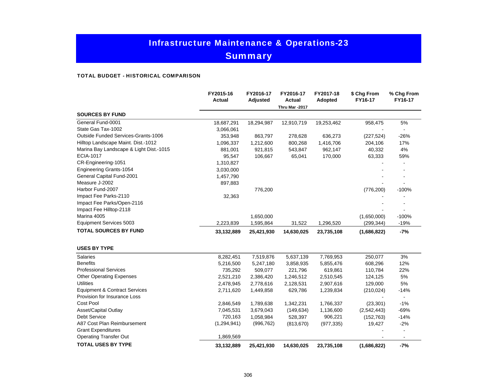## Infrastructure Maintenance & Operations-23 **Summary**

#### TOTAL BUDGET - HISTORICAL COMPARISON

|                                            | FY2015-16<br><b>Actual</b> | FY2016-17<br><b>Adjusted</b> | FY2016-17<br>Actual<br>Thru Mar -2017 | FY2017-18<br>Adopted | \$ Chg From<br>FY16-17 | % Chg From<br>FY16-17 |
|--------------------------------------------|----------------------------|------------------------------|---------------------------------------|----------------------|------------------------|-----------------------|
| <b>SOURCES BY FUND</b>                     |                            |                              |                                       |                      |                        |                       |
| General Fund-0001                          | 18,687,291                 | 18,294,987                   | 12,910,719                            | 19,253,462           | 958,475                | 5%                    |
| State Gas Tax-1002                         | 3,066,061                  |                              |                                       |                      |                        |                       |
| <b>Outside Funded Services-Grants-1006</b> | 353,948                    | 863,797                      | 278,628                               | 636,273              | (227, 524)             | $-26%$                |
| Hilltop Landscape Maint. Dist.-1012        | 1,096,337                  | 1,212,600                    | 800,268                               | 1,416,706            | 204,106                | 17%                   |
| Marina Bay Landscape & Light Dist.-1015    | 881,001                    | 921,815                      | 543,847                               | 962,147              | 40,332                 | 4%                    |
| <b>ECIA-1017</b>                           | 95,547                     | 106,667                      | 65,041                                | 170,000              | 63,333                 | 59%                   |
| CR-Engineering-1051                        | 1,310,827                  |                              |                                       |                      |                        |                       |
| Engineering Grants-1054                    | 3,030,000                  |                              |                                       |                      |                        |                       |
| General Capital Fund-2001                  | 1,457,790                  |                              |                                       |                      |                        |                       |
| Measure J-2002                             | 897,883                    |                              |                                       |                      |                        |                       |
| Harbor Fund-2007                           |                            | 776,200                      |                                       |                      | (776, 200)             | $-100%$               |
| Impact Fee Parks-2110                      | 32,363                     |                              |                                       |                      |                        |                       |
| Impact Fee Parks/Open-2116                 |                            |                              |                                       |                      |                        |                       |
| Impact Fee Hilltop-2118                    |                            |                              |                                       |                      |                        |                       |
| Marina 4005                                |                            | 1,650,000                    |                                       |                      | (1,650,000)            | $-100%$               |
| Equipment Services 5003                    | 2,223,839                  | 1,595,864                    | 31,522                                | 1,296,520            | (299, 344)             | $-19%$                |
| <b>TOTAL SOURCES BY FUND</b>               | 33,132,889                 | 25,421,930                   | 14,630,025                            | 23,735,108           | (1,686,822)            | $-7%$                 |
| <b>USES BY TYPE</b>                        |                            |                              |                                       |                      |                        |                       |
| <b>Salaries</b>                            | 8,282,451                  | 7,519,876                    | 5,637,139                             | 7,769,953            | 250,077                | 3%                    |
| <b>Benefits</b>                            | 5,216,500                  | 5,247,180                    | 3,858,935                             | 5,855,476            | 608,296                | 12%                   |
| <b>Professional Services</b>               | 735,292                    | 509,077                      | 221,796                               | 619,861              | 110,784                | 22%                   |
| <b>Other Operating Expenses</b>            | 2,521,210                  | 2,386,420                    | 1,246,512                             | 2,510,545            | 124,125                | 5%                    |
| <b>Utilities</b>                           | 2,478,945                  | 2,778,616                    | 2,128,531                             | 2,907,616            | 129,000                | 5%                    |
| <b>Equipment &amp; Contract Services</b>   | 2,711,620                  | 1,449,858                    | 629,786                               | 1,239,834            | (210, 024)             | $-14%$                |
| Provision for Insurance Loss               |                            |                              |                                       |                      |                        | $\blacksquare$        |
| Cost Pool                                  | 2,846,549                  | 1,789,638                    | 1,342,231                             | 1,766,337            | (23, 301)              | $-1%$                 |
| Asset/Capital Outlay                       | 7,045,531                  | 3,679,043                    | (149, 634)                            | 1,136,600            | (2,542,443)            | $-69%$                |
| <b>Debt Service</b>                        | 720,163                    | 1,058,984                    | 528,397                               | 906,221              | (152, 763)             | $-14%$                |
| A87 Cost Plan Reimbursement                | (1,294,941)                | (996, 762)                   | (813, 670)                            | (977, 335)           | 19,427                 | $-2%$                 |
| <b>Grant Expenditures</b>                  |                            |                              |                                       |                      |                        |                       |
| <b>Operating Transfer Out</b>              | 1,869,569                  |                              |                                       |                      |                        | $\blacksquare$        |
| <b>TOTAL USES BY TYPE</b>                  | 33,132,889                 | 25,421,930                   | 14,630,025                            | 23,735,108           | (1,686,822)            | $-7%$                 |